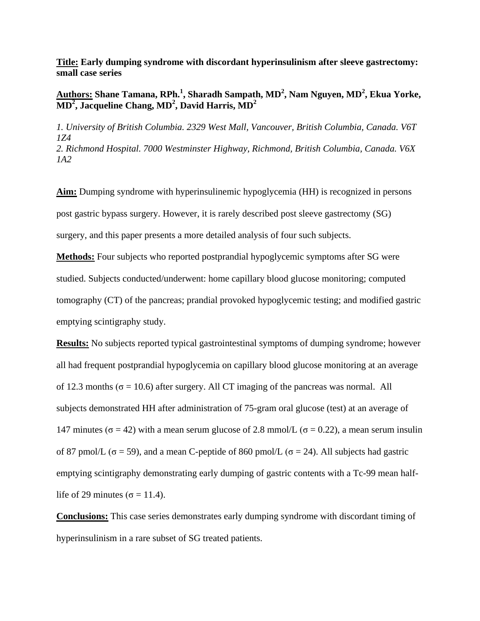**Title: Early dumping syndrome with discordant hyperinsulinism after sleeve gastrectomy: small case series**

## **Authors: Shane Tamana, RPh.<sup>1</sup> , Sharadh Sampath, MD<sup>2</sup> , Nam Nguyen, MD<sup>2</sup> , Ekua Yorke, MD<sup>2</sup> , Jacqueline Chang, MD<sup>2</sup> , David Harris, MD<sup>2</sup>**

*1. University of British Columbia. 2329 West Mall, Vancouver, British Columbia, Canada. V6T 1Z4 2. Richmond Hospital. 7000 Westminster Highway, Richmond, British Columbia, Canada. V6X 1A2*

**Aim:** Dumping syndrome with hyperinsulinemic hypoglycemia (HH) is recognized in persons post gastric bypass surgery. However, it is rarely described post sleeve gastrectomy (SG) surgery, and this paper presents a more detailed analysis of four such subjects.

**Methods:** Four subjects who reported postprandial hypoglycemic symptoms after SG were studied. Subjects conducted/underwent: home capillary blood glucose monitoring; computed tomography (CT) of the pancreas; prandial provoked hypoglycemic testing; and modified gastric emptying scintigraphy study.

**Results:** No subjects reported typical gastrointestinal symptoms of dumping syndrome; however all had frequent postprandial hypoglycemia on capillary blood glucose monitoring at an average of 12.3 months ( $\sigma$  = 10.6) after surgery. All CT imaging of the pancreas was normal. All subjects demonstrated HH after administration of 75-gram oral glucose (test) at an average of 147 minutes ( $\sigma$  = 42) with a mean serum glucose of 2.8 mmol/L ( $\sigma$  = 0.22), a mean serum insulin of 87 pmol/L ( $\sigma$  = 59), and a mean C-peptide of 860 pmol/L ( $\sigma$  = 24). All subjects had gastric emptying scintigraphy demonstrating early dumping of gastric contents with a Tc-99 mean halflife of 29 minutes ( $\sigma$  = 11.4).

**Conclusions:** This case series demonstrates early dumping syndrome with discordant timing of hyperinsulinism in a rare subset of SG treated patients.